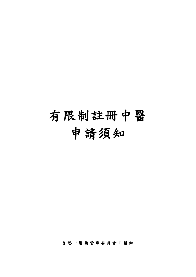# 有限制註冊中醫 申請須知

香港中醫藥管理委員會中醫組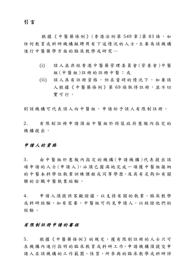#### 引 言

根據《中醫藥條例》(香港法例第 549章)第 83條,如 任何教育或科研機構擬聘用有下述情況的人士,主要為該機構 進行中醫藥學方面的臨床教學或研究—

- (i) 該人並非經香港中醫藥管理委員會 (管委會 )中 醫 組 (中醫組 )註冊的註冊中醫;或
- (ii) 該人具有註冊資格,但在當時的情況下,如要該 人根據《中醫藥條例》第69條取得註冊,並不切 實可行,

則該機構可代表該人向中醫組,申請給予該人有限制註冊。

2. 有限制註冊申請須由中醫組於特區政府憲報內指定 的 機構提出。

#### 申請人的資格

3. 由中醫組於憲報內指定的機構 (申請機構 )代表提出該 項 申 請 的 人 士 (申 請 人 ), 必 須 已 圓 滿 地 完 成 一 項 獲 中 醫 組 接 納 的 中 醫 本 科 學 位 執 業 訓 練 課 程 或 同 等 學 歷,及 具 有 足 夠 和 有 關 聯的全職中醫執業經驗。

4. 申請人須提供客觀證據,以支持有關的執業、臨床教學 或科研經驗。如有需要,中醫組可約見申請人,以核證他們的 經驗。

#### 有限制註冊申請的審核

5. 根據《中醫藥條例》的規定,獲有限制註冊的人士只可 在機構內進行指明的臨床教育或科研工作。申請機構須提交申 請人在該機構的工作範圍、性質、所參與的臨 床教學或科研詳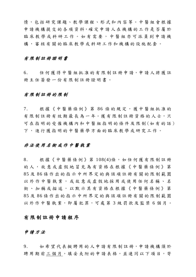情,包括研究課題、教學課程、形式和內容等。中醫組會根據 申 請 機 構 提 交 的 各 項 資 料,確 定 申 請 人 在 機 構 的 工 作 是 否 屬 於 臨床教學或科研工作。如有需要,中醫組亦可派員到申請機 構,審核有關的臨床教學或科研工作和機構的設施配套。

#### 有限制註冊證明書

6. 任何獲得中醫組批准的有限制註冊申請,申請人將獲註 冊主任簽發一份有限制註冊證明書。

#### 有限制註冊的限制

7. 根據《中醫藥條例》第 86 條的規定,獲中醫組批准的 有限制註冊有效期最長為一年。獲有限制註冊資格的人士,只 可在指明的受僱機構內和中醫組指明的條件及限制 (如有的話) 下,進行獲指明的中醫藥學方面的臨床教學或研究工作。

#### 非法使用名銜或作中醫執業

8. 根據《中醫藥條例》第 108(4)條,如任何獲有限制註冊 的人,故意或虛假地冒充為有資格在根據《中醫藥條例》第 85 及 86 條作出的指示中所界定的與該項註冊有關的限制範圍 以外作中醫執業,或故意或虛假地採用或使用任何名稱、名 銜、加稱或描述,以默示其有資格在根據《中醫藥條例》第 85 及 86 條作出的指示中所界定的與該項註冊有關的限制範圍 以外作中醫執業,即屬犯罪,可處第 3 級罰款及監禁 6 個月。

#### 有限制註冊申請程序

#### 申請方法

9. 如希望代表擬聘用的人申請有限制註冊,申請機構須於 聘用期前三個月,填妥夾附的申請表格,並連同以下項目,寄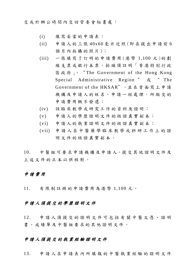交或於辦公時間內交回管委會秘書處:

- (i) 填寫妥當的申請表;
- (ii) 申請人的三張 40x60 毫米近照 (即在提出申請前 6 個月內拍攝的照片);
- (iii) 一張填寫了訂明的申請費用 (港 幣 1,100 元 )的 劃 線支票或銀行本票,抬頭須註明「香港特別行政 區 政 府 」、 " The Government of the Hong Kong Special Administrative Region " 或 " The Government of the HKSAR",並在背面寫上申請 機構及申請人的姓名。申請一經處理,所繳交的 申請費用概不發還;
- (iv) 該臨床教學或研究工作的資料及證明;
- (v) 申請人的學歷證明文件的核證真實副本;
- (vi) 申請人的執業證明文件的核證真實副本;
- (vii) 申請人在中醫藥學臨床教學或科研工作上的證 明文件的核證真實副本。

10. 中醫 組 可 要 求 申 請 機 構 及 申 請 人,提 交 其 他 證 明 文 件 及 上述文件的正本以供核對。

#### 申請費用

11. 有限制註冊的申請費用為港幣 1,100 元 。

#### 申請人須提交的學歷證明文件

12. 申請人須提交的證明文件可包括有關中醫文憑、證明 書、成績單 及中醫組要求的其他證明文件。

#### 申請人須提交的執業經驗證明文件

13. 申請人在申請表內所填報的中醫執業經驗的證明文件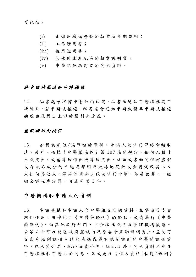可包括:

- (i) 由僱用機構簽發的執業及年期證明;
- (ii) 工作證明書;
- (iii) 僱用證明書;
- (iv) 其他國家或地區的執業證明書;
- (v) 中醫組認為需要的其他資料。

#### 將申請結果通知申請機構

14. 秘書處會根據中醫組的決定,以書面通知申請機構其申 請結果。若申請被拒絕,秘書處會通知申請機構其申請被拒絕 的理由及提出上訴的權利和途徑。

#### 虛假證明的提供

15. 如提供虛假/誤導性的資料,申請人的註冊資格會被取 消。另外,根據《中醫藥條例》第107條的規定,任何人藉作 出或交出,或藉導致作出或導致交出,口頭或書面的任何虛假 或有欺詐成分的申述或聲明而欺詐地促致或企圖促致其本人 或任何其他人,獲得註冊為有限制註冊中醫,即屬犯罪,一經 循公訴程序定罪,可處監禁3年。

#### 申請機構和申請人的資料

16. 申 請 機 構和 申 請人 向 中 醫組 提 交的 資 料,主 要 由管 委 會 內部使用,用作執行《中醫藥條例》的條款,或為執行《中醫 藥 條 例 》, 向 其 他 政 府 部 門 、 中 介 機 構 或 行 政 管 理 機 構 披 露 。 公眾人士可在特區政府憲報內及管委會互聯網網頁上,查閱可 提出有限制註冊申請的機構或獲有限制註冊的中醫的註冊資 料,包括其姓名、地址及資格等。除此之外,其他資料只會在 申請機構和申請人的同意,又或是在《個人資料(私隱)條例》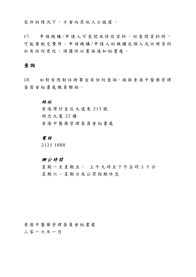容許的情況下,才會向其他人士披露。

17. 申請機構 /申請人可查閱及修改資料,但查閱資料時, 可能要繳交費用。申請機構 /申請人的機構或個人或註冊資料 如有任何更改,須儘快以書面通知秘書處。

#### 查詢

18. 如 對 有 限 制 註 冊 事 宜 有 任 何 查 詢,請 與 香 港 中 醫 藥 管 理 委員會秘書處職員聯絡。

#### 地 址

香港灣仔皇后大道東 213 號 胡忠大 廈 22 樓 香港中醫藥管理委員會秘書處

#### 電 話

2121 1888

#### 辦公時間

星期一至星期五: 上午九時至下午五時三十分 星期六、星期日及公眾假期休息

#### 香港中醫藥管理委員會秘書處

二零一六 年 一 月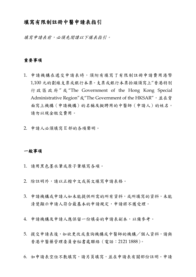#### 填寫有限制註冊中醫申請表指引

填寫申請表前,必須先閱讀以下填表指引。

#### 重要事項

- 1. 申請機構在遞交申請表時,須附有填寫了有限制註冊申請費用港幣 1,100 元的劃線支票或銀行本票。支票或銀行本票抬頭須寫上"香港特別 行政區政府 " 或 "The Government of the Hong Kong Special Administrative Region"或"The Government of the HKSAR",並在背 面寫上機構(申請機構)的名稱及擬聘用的中醫師(申請人)的姓名。 請勿以現金繳交費用。
- 2. 申請人必須填寫 E 部的各項聲明。

#### 一般事項

- 1. 請用黑色墨水筆或原子筆填寫各項。
- 2. 除註明外,請以正楷中文或英文填寫申請表格。
- 3. 申請機構或申請人如未能提供所需的所有資料,或所填寫的資料,未能 清楚顯示申請人符合最基本的申請規定,申請將不獲受理。
- 4. 申請機構及申請人應保留一份填妥的申請表副本,以備參考。
- 5. 提交申請表後,如欲更改或查詢機構或中醫師的機構/個人資料,請與 香港中醫藥管理委員會秘書處聯絡(電話:2121 1888)。
- 6. 如申請表空位不敷填寫,請另頁填寫,並在申請表有關部份註明。申請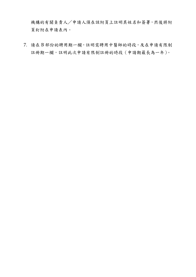機構的有關負責人/申請人須在該附頁上註明其姓名和簽署,然後將附 頁釘附在申請表內。

7. 請在 B 部份的聘用期一欄,註明需聘用中醫師的時段,及在申請有限制 註冊期一欄,註明此次申請有限制註冊的時段 (申請期最長為一年)。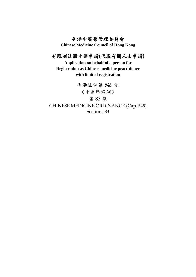### 香港中醫藥管理委員會

**Chinese Medicine Council of Hong Kong**

## 有限制註冊中醫申請**(**代表有關人士申請**)**

**Application on behalf of a person for Registration as Chinese medicine practitioner with limited registration**

香港法例第 549 章 《中醫藥條例》 第 83 條 CHINESE MEDICINE ORDINANCE (Cap. 549) Sections 83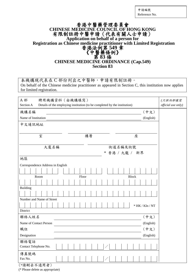申請編號 Reference No.

# 香港中醫藥管理委員會 **CHINESE MEDICINE COUNCIL OF HONG KONG** 有限制註冊中醫申請(代表有關人士申請) **Application on behalf of a person for** Registration as Chinese medicine practitioner with Limited Registration<br>
香港法例第 549 章<br>
《中醫藥條例》<br>
第 83 條<br> **CHINESE MEDICINE ORDINANCE** (Cap.549) **Section 83**

本機構現代表在 C 部份列出之中醫師,申請有限制註冊。 On behalf of the Chinese medicine practitioner as appeared in Section C, this institution now applies for limited registration.

| 聘用機構資料 (由機構填寫)<br>A 部<br>Section A<br>Details of the employing institution (to be completed by the institution) | (只供內部填寫<br>official use only) |
|-----------------------------------------------------------------------------------------------------------------|-------------------------------|
| 機構名稱<br>(中文)                                                                                                    |                               |
| Name of Institution<br>(English)                                                                                |                               |
| 中文通訊地址                                                                                                          |                               |
|                                                                                                                 |                               |
| 室<br>樓層<br>座                                                                                                    |                               |
|                                                                                                                 |                               |
| 大廈名稱<br>街道名稱及街號<br>* 香港 / 九龍 / 新界                                                                               |                               |
| 地區                                                                                                              |                               |
| Correspondence Address in English                                                                               |                               |
|                                                                                                                 |                               |
| Room<br>Floor<br><b>Block</b>                                                                                   |                               |
|                                                                                                                 |                               |
| <b>Building</b>                                                                                                 |                               |
|                                                                                                                 |                               |
| Number and Name of Street                                                                                       |                               |
| $*$ HK / Kln / NT                                                                                               |                               |
| District                                                                                                        |                               |
| (中文)<br>聯絡人姓名                                                                                                   |                               |
| Name of Contact Person<br>(English)                                                                             |                               |
| (中文)<br>職位                                                                                                      |                               |
| Designation<br>(English)                                                                                        |                               |
| 聯絡電話                                                                                                            |                               |
| Contact Telephone No.                                                                                           |                               |
| 傳真號碼                                                                                                            |                               |
| Fax No.                                                                                                         |                               |

(\*請刪去不適用者)

(\* Please delete as appropriate)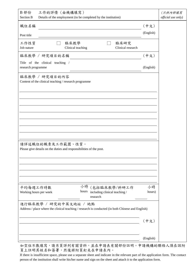| B 部份<br>工作的詳情 (由機構填寫)<br><b>Section B</b><br>Details of the employment (to be completed by the institution)                 |              | (只供內部填寫<br>official use only) |
|-----------------------------------------------------------------------------------------------------------------------------|--------------|-------------------------------|
| 職位名稱                                                                                                                        | (中文)         |                               |
| Post title                                                                                                                  | (English)    |                               |
| 工作性質<br>臨床教學<br>臨床研究<br>Job nature<br>Clinical research<br>Clinical teaching                                                |              |                               |
| 臨床教學 / 研究項目的名稱                                                                                                              | (中文)         |                               |
| Title of the clinical teaching /<br>research programme                                                                      | (English)    |                               |
| 臨床教學 / 研究項目的內容<br>Content of the clinical teaching / research programme                                                     |              |                               |
|                                                                                                                             |              |                               |
|                                                                                                                             |              |                               |
|                                                                                                                             |              |                               |
| 請詳述職位的職責及工作範圍、性質。<br>Please give details on the duties and responsibilities of the post.                                    |              |                               |
|                                                                                                                             |              |                               |
|                                                                                                                             |              |                               |
| 小時<br>(包括臨床教學/科研工作<br>平均每週工作時數<br>hours<br>including clinical teaching /<br>Working hours per week<br>research              | 小時<br>hours) |                               |
| 進行臨床教學 / 研究的中英文地址 / 地點<br>Address / place where the clinical teaching / research is conducted (in both Chinese and English) |              |                               |
|                                                                                                                             | (中文)         |                               |
|                                                                                                                             | (English)    |                               |

如空位不敷填寫,請另頁詳列有關資料,並在申請表有關部份註明。申請機構的聯絡人須在該附 頁上註明其姓名和簽署,然後將附頁釘夾在申請表內。

If there is insufficient space, please use a separate sheet and indicate in the relevant part of the application form. The contact person of the institution shall write his/her name and sign on the sheet and attach it to the application form.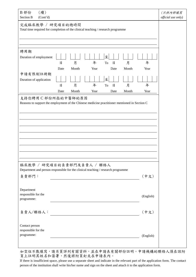| (續)<br>B 部份<br>Section B<br>(Cont'd)                                                                                                       | (只供内部填寫<br>official use only) |
|--------------------------------------------------------------------------------------------------------------------------------------------|-------------------------------|
| 完成臨床教學 / 研究項目的總時間<br>Total time required for completion of the clinical teaching / research programme                                      |                               |
|                                                                                                                                            |                               |
| 聘用期<br>至<br>Duration of employment<br>年<br>年<br>月<br>月<br>$\Box$<br>$\Box$<br>${\rm To}$<br>Month<br>Month<br>Date<br>Year<br>Date<br>Year |                               |
| 申請有限制註冊期<br>至<br>Duration of application<br>月<br>年<br>月<br>年<br>日<br>日<br>To<br>Month<br>Year<br>Month<br>Year<br>Date<br>Date             |                               |
| 支持你聘用C部份所指的中醫師的原因<br>Reasons to support the employment of the Chinese medicine practitioner mentioned in Section C                         |                               |
|                                                                                                                                            |                               |
|                                                                                                                                            |                               |
|                                                                                                                                            |                               |
|                                                                                                                                            |                               |
|                                                                                                                                            |                               |
| 臨床教學 / 研究項目的負責部門及負責人 / 聯絡人<br>Department and person responsible for the clinical teaching / research programme                             |                               |
| 負責部門:<br>(中文)                                                                                                                              |                               |
| Department<br>responsible for the<br>(English)<br>programme:                                                                               |                               |
| (中文)<br>負責人/聯絡人:                                                                                                                           |                               |
| Contact person<br>responsible for the<br>programme:<br>(English)                                                                           |                               |

如空位不敷填寫,請另頁詳列有關資料,並在申請表有關部份註明。申請機構的聯絡人須在該附 頁上註明其姓名和簽署,然後將附頁釘夾在申請表內。

If there is insufficient space, please use a separate sheet and indicate in the relevant part of the application form. The contact person of the institution shall write his/her name and sign on the sheet and attach it to the application form.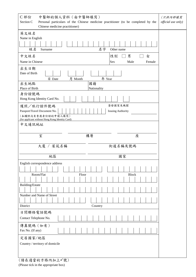| 中醫師的個人資料 (由中醫師填寫)<br>C部份<br>Section C<br>Chinese medicine practitioner)                                                                                                                                                              | Personal particulars of the Chinese medicine practitioner (to be completed by the  | (只供内部填寫<br>official use only) |
|--------------------------------------------------------------------------------------------------------------------------------------------------------------------------------------------------------------------------------------|------------------------------------------------------------------------------------|-------------------------------|
| 英文姓名<br>Name in English<br>姓名<br>Surname<br>中文姓名<br>Name in Chinese<br>出生日期<br>Date of Birth<br>月<br>日 Date<br>Month<br>出生地點<br>國籍<br>Place of Birth                                                                                 | 名字<br>Other name<br>性別<br>男<br>女<br>Sex<br>Male<br>Female<br>年 Year<br>Nationality |                               |
| 身份證號碼<br>Hong Kong Identity Card No.<br>護照/旅行證件號碼<br>Passport/Travel Document No.<br>(本欄供沒有香港身份證的申請人填寫)<br>(for applicant without Hong Kong Identity Card)<br>中文通訊地址                                                                 | 簽發國家及機關<br><b>Issuing Authority</b>                                                |                               |
| 室<br>樓層                                                                                                                                                                                                                              | 座                                                                                  |                               |
| 大廈 / 屋苑名稱                                                                                                                                                                                                                            | 街道名稱及號碼                                                                            |                               |
| 地區                                                                                                                                                                                                                                   | 國家                                                                                 |                               |
| English correspondence address<br>Room/Flat<br>Floor<br>Building/Estate<br>Number and Name of Street<br>District<br>日間聯絡電話號碼<br>Contact Telephone No.<br>傳真號碼 (如有)<br>Fax No. (If any)<br>定居國家/地區<br>Country / territory of domicile | <b>Block</b><br>Country                                                            |                               |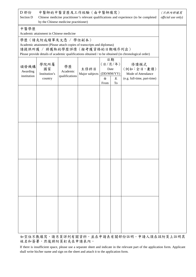| D 部份<br>中醫師的中醫資歷及工作經驗(由中醫師填寫)<br>Section D<br>Chinese medicine practitioner's relevant qualifications and experience (to be completed<br>by the Chinese medicine practitioner) |                                                                                                                                   |                                  |                        |           | (只供内部填寫<br>official use only)                  |                                                                                                      |  |
|--------------------------------------------------------------------------------------------------------------------------------------------------------------------------------|-----------------------------------------------------------------------------------------------------------------------------------|----------------------------------|------------------------|-----------|------------------------------------------------|------------------------------------------------------------------------------------------------------|--|
| 中醫學歷                                                                                                                                                                           | Academic attainment in Chinese medicine                                                                                           |                                  |                        |           |                                                |                                                                                                      |  |
|                                                                                                                                                                                | 學歷(請夾附成績單及文憑 / 學位副本)<br>Academic attainment (Please attach copies of transcripts and diplomas)<br>請提供所獲 / 將獲取的學歷詳情 (按考獲資格的日期順序列出) |                                  |                        |           |                                                | Please provide details of academic qualifications obtained / to be obtained (in chronological order) |  |
| 頒發機構<br>Awarding<br>institution                                                                                                                                                | 學院所屬<br>國家<br>Institution's<br>country                                                                                            | 學歷<br>Academic<br>qualifications | 主修科目<br>Major subjects | 由<br>From | 日期<br>(日/月/年)<br>Date<br>(DD/MM/YY)<br>至<br>To | 修讀模式<br>(例如:全日,兼讀)<br>Mode of Attendance<br>(e.g. full-time, part-time)                              |  |
|                                                                                                                                                                                |                                                                                                                                   |                                  |                        |           |                                                |                                                                                                      |  |
|                                                                                                                                                                                |                                                                                                                                   |                                  |                        |           |                                                |                                                                                                      |  |
|                                                                                                                                                                                |                                                                                                                                   |                                  |                        |           |                                                |                                                                                                      |  |
|                                                                                                                                                                                |                                                                                                                                   |                                  |                        |           |                                                |                                                                                                      |  |
|                                                                                                                                                                                |                                                                                                                                   |                                  |                        |           |                                                |                                                                                                      |  |
|                                                                                                                                                                                |                                                                                                                                   |                                  |                        |           |                                                |                                                                                                      |  |
|                                                                                                                                                                                |                                                                                                                                   |                                  |                        |           |                                                |                                                                                                      |  |
|                                                                                                                                                                                |                                                                                                                                   |                                  |                        |           |                                                |                                                                                                      |  |

如空位不敷填寫,請另頁詳列有關資料,並在申請表有關部份註明。申請人須在該附頁上註明其 姓名和簽署,然後將附頁釘夾在申請表內。

If there is insufficient space, please use a separate sheet and indicate in the relevant part of the application form. Applicant shall write his/her name and sign on the sheet and attach it to the application form.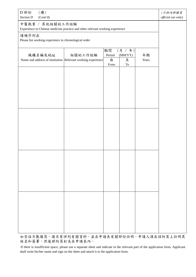| (續)<br>D 部份<br>Section D<br>(Cont'd)                                                              |         |                           |                                         |             | (只供內部填寫<br>official use only) |
|---------------------------------------------------------------------------------------------------|---------|---------------------------|-----------------------------------------|-------------|-------------------------------|
| 中醫執業 / 其他相關的工作經驗<br>Experience in Chinese medicine practice and other relevant working experience |         |                           |                                         |             |                               |
| 請順序列出<br>Please list working experience in chronological order                                    |         |                           |                                         |             |                               |
| 機構名稱及地址<br>Name and address of institution Relevant working experience                            | 相關的工作經驗 | 期間<br>Period<br>由<br>From | (月 / 年)<br>$(MM/YY)$<br>至<br>${\rm To}$ | 年期<br>Years |                               |
|                                                                                                   |         |                           |                                         |             |                               |
|                                                                                                   |         |                           |                                         |             |                               |
|                                                                                                   |         |                           |                                         |             |                               |
|                                                                                                   |         |                           |                                         |             |                               |
|                                                                                                   |         |                           |                                         |             |                               |
|                                                                                                   |         |                           |                                         |             |                               |
|                                                                                                   |         |                           |                                         |             |                               |
|                                                                                                   |         |                           |                                         |             |                               |

如空位不敷填寫,請另頁詳列有關資料,並在申請表有關部份註明。申請人須在該附頁上註明其 姓名和簽署,然後將附頁釘夾在申請表內。

If there is insufficient space, please use a separate sheet and indicate in the relevant part of the application form. Applicant shall write his/her name and sign on the sheet and attach it to the application form.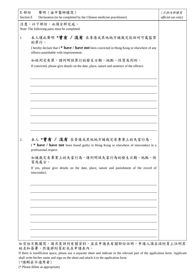| E 部份<br>Section E | 聲明(由中醫師填寫)<br>Declaration (to be completed by the Chinese medicine practitioner)                                                                 | (只供内部填寫<br>official use only) |
|-------------------|--------------------------------------------------------------------------------------------------------------------------------------------------|-------------------------------|
|                   | 注意:以下部份,必須全部完成。<br>Note: The following parts must be completed.                                                                                  |                               |
| 1.                | 本人謹此聲明 *曾有 / 沒有 在香港或其他地方被裁定犯任何可處監禁<br>的罪行。                                                                                                       |                               |
|                   | I hereby declare that $I^*$ have / have not been convicted in Hong Kong or elsewhere of any<br>offence punishable with imprisonment.             |                               |
|                   | 如經判定有罪,請列明該罪行的發生日期、地點、性質及判刑。                                                                                                                     |                               |
|                   | If convicted, please give details on the date, place, nature and sentence of the offence.                                                        |                               |
|                   |                                                                                                                                                  |                               |
|                   |                                                                                                                                                  |                               |
|                   |                                                                                                                                                  |                               |
|                   |                                                                                                                                                  |                               |
|                   |                                                                                                                                                  |                               |
| 2.                | 本人 *曾有 / 沒有 在香港或其他地方被裁定有專業上的失當行為。<br>I * have / have not been found guilty in Hong Kong or elsewhere of misconduct in a<br>professional respect. |                               |
|                   | 如被裁定有專業上的失當行為,請列明該失當行為的發生日期、地點、性<br>質及處分。                                                                                                        |                               |
|                   | If yes, please give details on the date, place, nature and punishment of the record of<br>misconduct.                                            |                               |
|                   |                                                                                                                                                  |                               |
|                   |                                                                                                                                                  |                               |
|                   |                                                                                                                                                  |                               |
|                   |                                                                                                                                                  |                               |
|                   |                                                                                                                                                  |                               |
|                   |                                                                                                                                                  |                               |

(\*請刪去不適用者)

(\* Please delete as appropriate)

如空位不敷填寫,請另頁詳列有關資料,並在申請表有關部份註明。申請人須在該附頁上註明其 姓名和簽署,然後將附頁釘夾在申請表內。

If there is insufficient space, please use a separate sheet and indicate in the relevant part of the application form. Applicant shall write his/her name and sign on the sheet and attach it to the application form.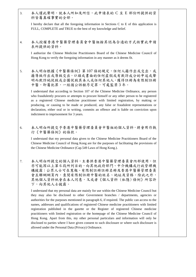| 3. | 本人謹此聲明, 就本人所知及所信, 此申請表的 C 至 E 部份所提供的資<br>料皆屬真確事實的全部。                                                                                                                                                                                                                                                                                                                                                                                                                                                                                                                                                                                                                                                                                                                                                                               |  |
|----|------------------------------------------------------------------------------------------------------------------------------------------------------------------------------------------------------------------------------------------------------------------------------------------------------------------------------------------------------------------------------------------------------------------------------------------------------------------------------------------------------------------------------------------------------------------------------------------------------------------------------------------------------------------------------------------------------------------------------------------------------------------------------------------------------------------------------------|--|
|    | I hereby declare that all the foregoing information in Sections C to E of this application is<br>FULL, COMPLETE and TRUE to the best of my knowledge and belief.                                                                                                                                                                                                                                                                                                                                                                                                                                                                                                                                                                                                                                                                   |  |
| 4. | 本人授權香港中醫藥管理委員會中醫組按其認為合適的方式核實此申請<br>表所提供的資料。                                                                                                                                                                                                                                                                                                                                                                                                                                                                                                                                                                                                                                                                                                                                                                                        |  |
|    | I authorize the Chinese Medicine Practitioners Board of the Chinese Medicine Council of<br>Hong Kong to verify the foregoing information in any manner as it deems fit.                                                                                                                                                                                                                                                                                                                                                                                                                                                                                                                                                                                                                                                            |  |
| 5. | 本人明白根據《中醫藥條例》第107條的規定,任何人藉作出或交出,或<br>藉導致作出或導致交出,口頭或書面的任何虛假或有欺詐成分的申述或聲<br>明而欺詐地促致或企圖促致其本人或任何其他人,獲得註冊為有限制註冊<br>中醫,即屬犯罪,一經循公訴程序定罪,可處監禁3年。                                                                                                                                                                                                                                                                                                                                                                                                                                                                                                                                                                                                                                                                                             |  |
|    | I understand that according to Section 107 of the Chinese Medicine Ordinance, any person<br>who fraudulently procures or attempts to procure himself or any other person to be registered<br>as a registered Chinese medicine practitioner with limited registration, by making or<br>producing, or causing to be made or produced, any false or fraudulent representations or<br>declaration, either oral or in writing, commits an offence and is liable on conviction upon<br>indictment to imprisonment for 3 years.                                                                                                                                                                                                                                                                                                           |  |
| 6. | 本人明白所提交予香港中醫藥管理委員會中醫組的個人資料,將會用作執<br>行《中醫藥條例》的條款。                                                                                                                                                                                                                                                                                                                                                                                                                                                                                                                                                                                                                                                                                                                                                                                   |  |
|    | I understand that my personal data given to the Chinese Medicine Practitioners Board of the<br>Chinese Medicine Council of Hong Kong are for the purposes of facilitating the provisions of<br>the Chinese Medicine Ordinance (Cap.549 Laws of Hong Kong.).                                                                                                                                                                                                                                                                                                                                                                                                                                                                                                                                                                        |  |
| 7. | 本人明白所提交的個人資料,主要供香港中醫藥管理委員會內部使用,但<br>亦可能因以上第6段所列目的, 向其他政府部門、中介機構或行政管理機<br>構披露;公眾人士可在憲報、有限制註冊註冊名冊及香港中醫藥管理委員<br>會互聯網網頁內,查閱有限制註冊中醫的姓名、地址及資格。除此之外,<br>其他個人資料祇會在本人同意,又或者《個人資料 (私隱)條例》所容許<br>下,向其他人士披露。                                                                                                                                                                                                                                                                                                                                                                                                                                                                                                                                                                                                                                   |  |
|    | I understand that my personal data are mainly for use within the Chinese Medicine Council but<br>they may also be disclosed to other Government branches / departments, agencies or<br>authorities for the purposes mentioned in paragraph 6, if required. The public can access to the<br>names, addresses and qualifications of registered Chinese medicine practitioners with limited<br>registration published in the gazette or the Register of registered Chinese medicine<br>practitioners with limited registration or the homepage of the Chinese Medicine Council of<br>Hong Kong. Apart from this, my other personal particulars and information will only be<br>disclosed to parties where I have given consent to such disclosure or where such disclosure is<br>allowed under the Personal Data (Privacy) Ordinance. |  |
|    |                                                                                                                                                                                                                                                                                                                                                                                                                                                                                                                                                                                                                                                                                                                                                                                                                                    |  |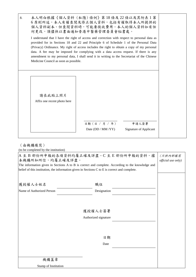| 8.                                     | 本人明白根據《個人資料(私隱)條例》第18條及22條以及其附表1第<br>6 原則所述,本人有權查閱及修正個人資料,包括有權取得本人所提供的<br>個人資料副本。但查閱資料時,可能要徵收費用。本人的個人資料如有任<br>何更改,須儘快以書面通知香港中醫藥管理委員會秘書處。 |                                                                                                                                                                                                                                                                                                                                                                                                                                                                            |  |  |
|----------------------------------------|------------------------------------------------------------------------------------------------------------------------------------------|----------------------------------------------------------------------------------------------------------------------------------------------------------------------------------------------------------------------------------------------------------------------------------------------------------------------------------------------------------------------------------------------------------------------------------------------------------------------------|--|--|
| Medicine Council as soon as possible.  |                                                                                                                                          | I understand that I have the right of access and correction with respect to personal data as<br>provided for in Sections 18 and 22 and Principle 6 of Schedule 1 of the Personal Data<br>(Privacy) Ordinance. My right of access includes the right to obtain a copy of my personal<br>data. A fee may be imposed for complying with a data access request. If there is any<br>amendment to my personal data, I shall send it in writing to the Secretariat of the Chinese |  |  |
| 請在此貼上照片<br>Affix one recent photo here | 日期 (日 / 月 / 年)<br>Date (DD / MM /YY)                                                                                                     | 申請人簽署<br><b>Signature of Applicant</b>                                                                                                                                                                                                                                                                                                                                                                                                                                     |  |  |

#### (由機構填寫)

(to be completed by the institution)

| A 至 B 部份所申報的各項資料均屬正確及詳盡。C 至 E 部份所申報的資料,據<br>本機構所知所信,均屬正確及詳盡。<br>The information given in Sections A to B is correct and complete. According to the knowledge and<br>belief of this institution, the information given in Sections C to E is correct and complete. | (只供内部填寫<br><i>official use only)</i> |  |  |
|-------------------------------------------------------------------------------------------------------------------------------------------------------------------------------------------------------------------------------------------------------------------|--------------------------------------|--|--|
| 獲授權人士姓名                                                                                                                                                                                                                                                           | 職位                                   |  |  |
| Name of Authorized Person                                                                                                                                                                                                                                         | Designation                          |  |  |
|                                                                                                                                                                                                                                                                   |                                      |  |  |
| 獲授權人士簽署                                                                                                                                                                                                                                                           |                                      |  |  |
| Authorized signature                                                                                                                                                                                                                                              |                                      |  |  |
|                                                                                                                                                                                                                                                                   |                                      |  |  |
|                                                                                                                                                                                                                                                                   | 日期                                   |  |  |
|                                                                                                                                                                                                                                                                   |                                      |  |  |
|                                                                                                                                                                                                                                                                   |                                      |  |  |
| 機構蓋章                                                                                                                                                                                                                                                              |                                      |  |  |
| Stamp of Institution                                                                                                                                                                                                                                              |                                      |  |  |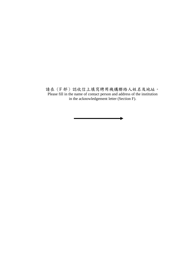請在(F部)認收信上填寫聘用機構聯絡人姓名及地址。 Please fill in the name of contact person and address of the institution in the acknowledgement letter (Section F).